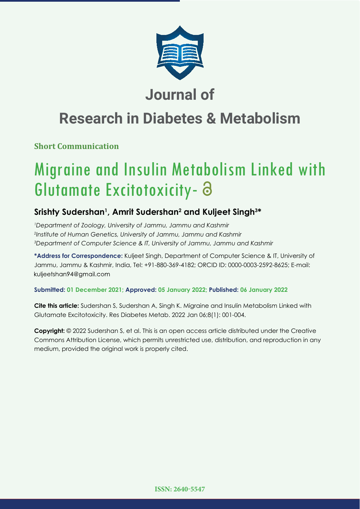

## **Journal of**

# **Research in Diabetes & Metabolism**

## **Short Communication**

# Migraine and Insulin Metabolism Linked with Glutamate Excitotoxicity-

## **Srishty Sudershan1 , Amrit Sudershan2 and Kuljeet Singh3 \***

*1 Department of Zoology, University of Jammu, Jammu and Kashmir 2 Institute of Human Genetics, University of Jammu, Jammu and Kashmir 3 Department of Computer Science & IT, University of Jammu, Jammu and Kashmir*

**\*Address for Correspondence:** Kuljeet Singh, Department of Computer Science & IT, University of Jammu, Jammu & Kashmir, India, Tel: +91-880-369-4182; ORCID ID: 0000-0003-2592-8625; E-mail: kuljeetshan94@gmail.com

### **Submitted: 01 December 2021; Approved: 05 January 2022; Published: 06 January 2022**

**Cite this article:** Sudershan S, Sudershan A, Singh K. Migraine and Insulin Metabolism Linked with Glutamate Excitotoxicity. Res Diabetes Metab. 2022 Jan 06;8(1): 001-004.

**Copyright:** © 2022 Sudershan S, et al. This is an open access article distributed under the Creative Commons Attribution License, which permits unrestricted use, distribution, and reproduction in any medium, provided the original work is properly cited.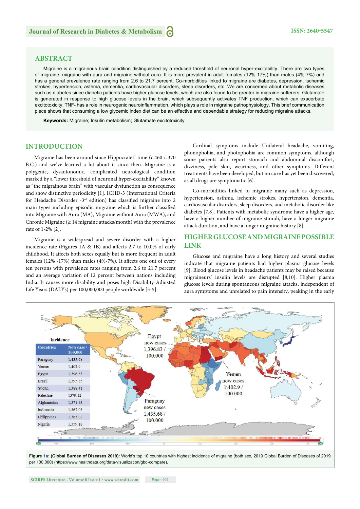#### **ABSTRACT**

Migraine is a migrainous brain condition distinguished by a reduced threshold of neuronal hyper-excitability. There are two types of migraine: migraine with aura and migraine without aura. It is more prevalent in adult females (12%-17%) than males (4%-7%) and has a general prevalence rate ranging from 2.6 to 21.7 percent. Co-morbidities linked to migraine are diabetes, depression, ischemic strokes, hypertension, asthma, dementia, cardiovascular disorders, sleep disorders, etc. We are concerned about metabolic diseases such as diabetes since diabetic patients have higher glucose levels, which are also found to be greater in migraine sufferers. Glutamate is generated in response to high glucose levels in the brain, which subsequently activates TNF production, which can exacerbate excitotoxicity. TNF- has a role in neurogenic neuroinflammation, which plays a role in migraine pathophysiology. This brief communication piece shows that consuming a low glycemic index diet can be an effective and dependable strategy for reducing migraine attacks.

**Keywords:** Migraine; Insulin metabolism; Glutamate excitotoxicity

#### **INTRODUCTION**

Migraine has been around since Hippocrates' time (c.460-c.370 B.C.) and we've learned a lot about it since then. Migraine is a polygenic, dysautonomic, complicated neurological condition marked by a "lower threshold of neuronal hyper-excitability" known as "the migrainous brain" with vascular dysfunction as consequence and show distinctive periodicity [1]. ICHD-3 (International Criteria for Headache Disorder  $-3<sup>rd</sup>$  edition) has classified migraine into 2 main types including episodic migraine which is further classified into Migraine with Aura (MA), Migraine without Aura (MWA), and Chronic Migraine  $(\geq 14$  migraine attacks/month) with the prevalence rate of 1-2% [2].

Migraine is a widespread and severe disorder with a higher incidence rate (Figures 1A & 1B) and affects 2.7 to 10.0% of early childhood. It affects both sexes equally but is more frequent in adult females  $(12\% -17\%)$  than males  $(4\% -7\%)$ . It affects one out of every ten persons with prevalence rates ranging from 2.6 to 21.7 percent and an average variation of 12 percent between nations including India. It causes more disability and poses high Disability-Adjusted Life Years (DALYs) per 100,000,000 people worldwide [3-5].

Cardinal symptoms include Unilateral headache, vomiting, phonophobia, and photophobia are common symptoms, although some patients also report stomach and abdominal discomfort, dizziness, pale skin, weariness, and other symptoms. Different treatments have been developed, but no cure has yet been discovered, as all drugs are symptomatic [6].

Co-morbidities linked to migraine many such as depression, hypertension, asthma, ischemic strokes, hypertension, dementia, cardiovascular disorders, sleep disorders, and metabolic disorder like diabetes [7,8]. Patients with metabolic syndrome have a higher age, have a higher number of migraine stimuli, have a longer migraine attack duration, and have a longer migraine history [8].

#### **HIGHER GLUCOSE AND MIGRAINE POSSIBLE LINK**

Glucose and migraine have a long history and several studies indicate that migraine patients had higher plasma glucose levels [9]. Blood glucose levels in headache patients may be raised because migraineurs' insulin levels are disrupted [8,10]. Higher plasma glucose levels during spontaneous migraine attacks, independent of aura symptoms and unrelated to pain intensity, peaking in the early



**Figure 1a: (Global Burden of Diseases 2019):** World's top 10 countries with highest incidence of migraine (both sex, 2019 Global Burden of Diseases of 2019 per 100,000) (https://www.healthdata.org/data-visualization/gbd-compare).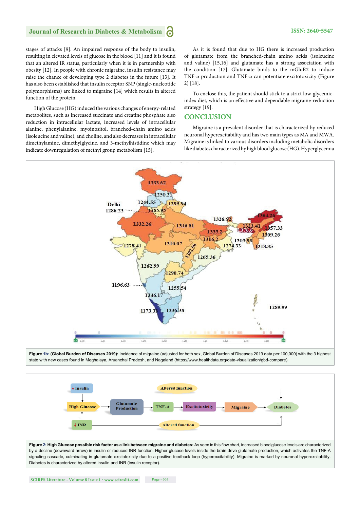#### **Journal of Research in Diabetes & Metabolism**

stages of attacks [9]. An impaired response of the body to insulin, resulting in elevated levels of glucose in the blood [11] and it is found that an altered IR status, particularly when it is in partnership with obesity [12]. In people with chronic migraine, insulin resistance may raise the chance of developing type 2 diabetes in the future [13]. It has also been established that insulin receptor SNP (single-nucleotide polymorphisms) are linked to migraine [14] which results in altered function of the protein.

High Glucose (HG) induced the various changes of energy-related metabolites, such as increased succinate and creatine phosphate also reduction in intracellular lactate, increased levels of intracellular alanine, phenylalanine, myoinositol, branched-chain amino acids (isoleucine and valine), and choline, and also decreases in intracellular dimethylamine, dimethylglycine, and 3-methylhistidine which may indicate downregulation of methyl group metabolism [15].

As it is found that due to HG there is increased production of glutamate from the branched-chain amino acids (isoleucine and valine) [15,16] and glutamate has a strong association with the condition [17]. Glutamate binds to the mGluR2 to induce TNF-*α* production and TNF-*α* can potentiate excitotoxicity (Figure 2) [18].

To enclose this, the patient should stick to a strict low-glycemicindex diet, which is an effective and dependable migraine-reduction strategy [19].

#### **CONCLUSION**

Migraine is a prevalent disorder that is characterized by reduced neuronal hyperexcitability and has two main types as MA and MWA. Migraine is linked to various disorders including metabolic disorders like diabetes characterized by high blood glucose (HG). Hyperglycemia



**Figure 1b: (Global Burden of Diseases 2019):** Incidence of migraine (adjusted for both sex, Global Burden of Diseases 2019 data per 100,000) with the 3 highest state with new cases found in Meghalaya, Aruanchal Pradesh, and Nagaland (https://www.healthdata.org/data-visualization/gbd-compare).